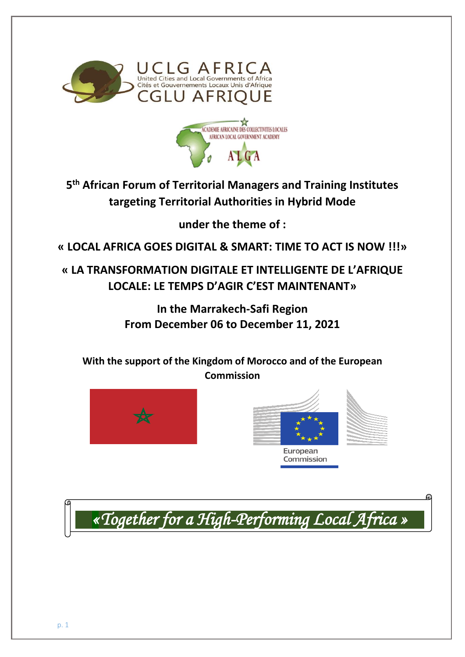



**5 th African Forum of Territorial Managers and Training Institutes targeting Territorial Authorities in Hybrid Mode**

**under the theme of :**

**« LOCAL AFRICA GOES DIGITAL & SMART: TIME TO ACT IS NOW !!!»**

**« LA TRANSFORMATION DIGITALE ET INTELLIGENTE DE L'AFRIQUE LOCALE: LE TEMPS D'AGIR C'EST MAINTENANT»**

> **In the Marrakech-Safi Region From December 06 to December 11, 2021**

**With the support of the Kingdom of Morocco and of the European Commission**







*«Together for a High-Performing Local Africa »*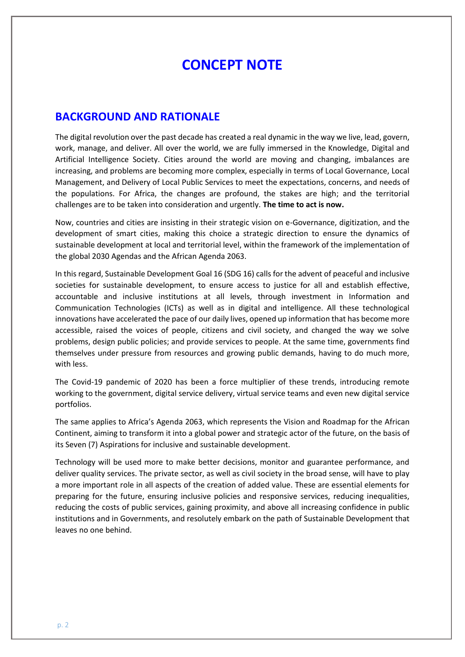# **CONCEPT NOTE**

#### **BACKGROUND AND RATIONALE**

The digital revolution over the past decade has created a real dynamic in the way we live, lead, govern, work, manage, and deliver. All over the world, we are fully immersed in the Knowledge, Digital and Artificial Intelligence Society. Cities around the world are moving and changing, imbalances are increasing, and problems are becoming more complex, especially in terms of Local Governance, Local Management, and Delivery of Local Public Services to meet the expectations, concerns, and needs of the populations. For Africa, the changes are profound, the stakes are high; and the territorial challenges are to be taken into consideration and urgently. **The time to act is now.**

Now, countries and cities are insisting in their strategic vision on e-Governance, digitization, and the development of smart cities, making this choice a strategic direction to ensure the dynamics of sustainable development at local and territorial level, within the framework of the implementation of the global 2030 Agendas and the African Agenda 2063.

In this regard, Sustainable Development Goal 16 (SDG 16) calls for the advent of peaceful and inclusive societies for sustainable development, to ensure access to justice for all and establish effective, accountable and inclusive institutions at all levels, through investment in Information and Communication Technologies (ICTs) as well as in digital and intelligence. All these technological innovations have accelerated the pace of our daily lives, opened up information that has become more accessible, raised the voices of people, citizens and civil society, and changed the way we solve problems, design public policies; and provide services to people. At the same time, governments find themselves under pressure from resources and growing public demands, having to do much more, with less.

The Covid-19 pandemic of 2020 has been a force multiplier of these trends, introducing remote working to the government, digital service delivery, virtual service teams and even new digital service portfolios.

The same applies to Africa's Agenda 2063, which represents the Vision and Roadmap for the African Continent, aiming to transform it into a global power and strategic actor of the future, on the basis of its Seven (7) Aspirations for inclusive and sustainable development.

Technology will be used more to make better decisions, monitor and guarantee performance, and deliver quality services. The private sector, as well as civil society in the broad sense, will have to play a more important role in all aspects of the creation of added value. These are essential elements for preparing for the future, ensuring inclusive policies and responsive services, reducing inequalities, reducing the costs of public services, gaining proximity, and above all increasing confidence in public institutions and in Governments, and resolutely embark on the path of Sustainable Development that leaves no one behind.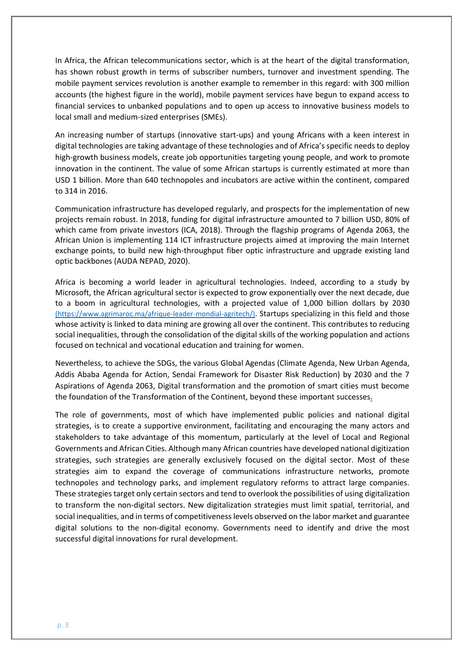In Africa, the African telecommunications sector, which is at the heart of the digital transformation, has shown robust growth in terms of subscriber numbers, turnover and investment spending. The mobile payment services revolution is another example to remember in this regard: with 300 million accounts (the highest figure in the world), mobile payment services have begun to expand access to financial services to unbanked populations and to open up access to innovative business models to local small and medium-sized enterprises (SMEs).

An increasing number of startups (innovative start-ups) and young Africans with a keen interest in digital technologies are taking advantage of these technologies and of Africa's specific needs to deploy high-growth business models, create job opportunities targeting young people, and work to promote innovation in the continent. The value of some African startups is currently estimated at more than USD 1 billion. More than 640 technopoles and incubators are active within the continent, compared to 314 in 2016.

Communication infrastructure has developed regularly, and prospects for the implementation of new projects remain robust. In 2018, funding for digital infrastructure amounted to 7 billion USD, 80% of which came from private investors (ICA, 2018). Through the flagship programs of Agenda 2063, the African Union is implementing 114 ICT infrastructure projects aimed at improving the main Internet exchange points, to build new high-throughput fiber optic infrastructure and upgrade existing land optic backbones (AUDA NEPAD, 2020).

Africa is becoming a world leader in agricultural technologies. Indeed, according to a study by Microsoft, the African agricultural sector is expected to grow exponentially over the next decade, due to a boom in agricultural technologies, with a projected value of 1,000 billion dollars by 2030 (https://www.agrimaroc.ma/afrique-leader-mondial-agritech/). Startups specializing in this field and those whose activity is linked to data mining are growing all over the continent. This contributes to reducing social inequalities, through the consolidation of the digital skills of the working population and actions focused on technical and vocational education and training for women.

Nevertheless, to achieve the SDGs, the various Global Agendas (Climate Agenda, New Urban Agenda, Addis Ababa Agenda for Action, Sendai Framework for Disaster Risk Reduction) by 2030 and the 7 Aspirations of Agenda 2063, Digital transformation and the promotion of smart cities must become the foundation of the Transformation of the Continent, beyond these important successes.

The role of governments, most of which have implemented public policies and national digital strategies, is to create a supportive environment, facilitating and encouraging the many actors and stakeholders to take advantage of this momentum, particularly at the level of Local and Regional Governments and African Cities. Although many African countries have developed national digitization strategies, such strategies are generally exclusively focused on the digital sector. Most of these strategies aim to expand the coverage of communications infrastructure networks, promote technopoles and technology parks, and implement regulatory reforms to attract large companies. These strategies target only certain sectors and tend to overlook the possibilities of using digitalization to transform the non-digital sectors. New digitalization strategies must limit spatial, territorial, and social inequalities, and in terms of competitiveness levels observed on the labor market and guarantee digital solutions to the non-digital economy. Governments need to identify and drive the most successful digital innovations for rural development.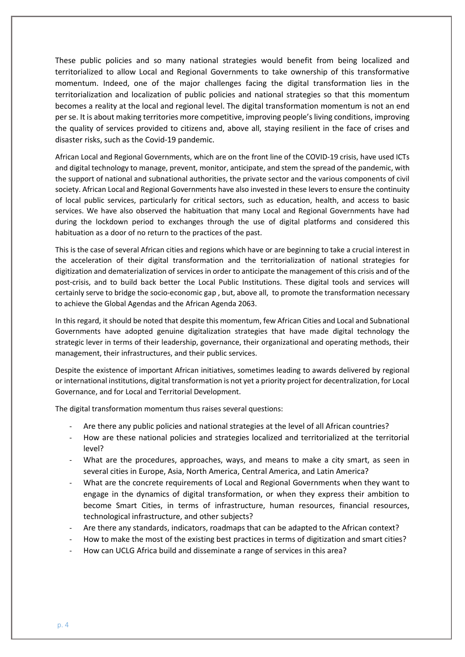These public policies and so many national strategies would benefit from being localized and territorialized to allow Local and Regional Governments to take ownership of this transformative momentum. Indeed, one of the major challenges facing the digital transformation lies in the territorialization and localization of public policies and national strategies so that this momentum becomes a reality at the local and regional level. The digital transformation momentum is not an end per se. It is about making territories more competitive, improving people's living conditions, improving the quality of services provided to citizens and, above all, staying resilient in the face of crises and disaster risks, such as the Covid-19 pandemic.

African Local and Regional Governments, which are on the front line of the COVID-19 crisis, have used ICTs and digital technology to manage, prevent, monitor, anticipate, and stem the spread of the pandemic, with the support of national and subnational authorities, the private sector and the various components of civil society. African Local and Regional Governments have also invested in these levers to ensure the continuity of local public services, particularly for critical sectors, such as education, health, and access to basic services. We have also observed the habituation that many Local and Regional Governments have had during the lockdown period to exchanges through the use of digital platforms and considered this habituation as a door of no return to the practices of the past.

This is the case of several African cities and regions which have or are beginning to take a crucial interest in the acceleration of their digital transformation and the territorialization of national strategies for digitization and dematerialization of services in order to anticipate the management of this crisis and of the post-crisis, and to build back better the Local Public Institutions. These digital tools and services will certainly serve to bridge the socio-economic gap , but, above all, to promote the transformation necessary to achieve the Global Agendas and the African Agenda 2063.

In this regard, it should be noted that despite this momentum, few African Cities and Local and Subnational Governments have adopted genuine digitalization strategies that have made digital technology the strategic lever in terms of their leadership, governance, their organizational and operating methods, their management, their infrastructures, and their public services.

Despite the existence of important African initiatives, sometimes leading to awards delivered by regional or international institutions, digital transformation is not yet a priority project for decentralization, for Local Governance, and for Local and Territorial Development.

The digital transformation momentum thus raises several questions:

- Are there any public policies and national strategies at the level of all African countries?
- How are these national policies and strategies localized and territorialized at the territorial level?
- What are the procedures, approaches, ways, and means to make a city smart, as seen in several cities in Europe, Asia, North America, Central America, and Latin America?
- What are the concrete requirements of Local and Regional Governments when they want to engage in the dynamics of digital transformation, or when they express their ambition to become Smart Cities, in terms of infrastructure, human resources, financial resources, technological infrastructure, and other subjects?
- Are there any standards, indicators, roadmaps that can be adapted to the African context?
- How to make the most of the existing best practices in terms of digitization and smart cities?
- How can UCLG Africa build and disseminate a range of services in this area?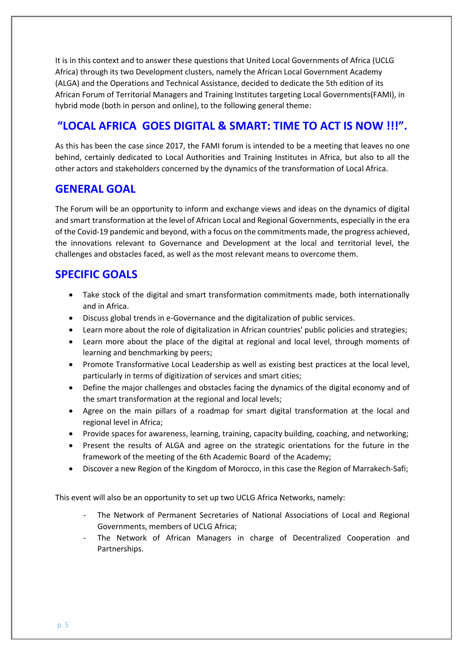It is in this context and to answer these questions that United Local Governments of Africa (UCLG Africa) through its two Development clusters, namely the African Local Government Academy (ALGA) and the Operations and Technical Assistance, decided to dedicate the 5th edition of its African Forum of Territorial Managers and Training Institutes targeting Local Governments(FAMI), in hybrid mode (both in person and online), to the following general theme:

# **"LOCAL AFRICA GOES DIGITAL & SMART: TIME TO ACT IS NOW !!!".**

As this has been the case since 2017, the FAMI forum is intended to be a meeting that leaves no one behind, certainly dedicated to Local Authorities and Training Institutes in Africa, but also to all the other actors and stakeholders concerned by the dynamics of the transformation of Local Africa.

## **GENERAL GOAL**

The Forum will be an opportunity to inform and exchange views and ideas on the dynamics of digital and smart transformation at the level of African Local and Regional Governments, especially in the era of the Covid-19 pandemic and beyond, with a focus on the commitments made, the progress achieved, the innovations relevant to Governance and Development at the local and territorial level, the challenges and obstacles faced, as well as the most relevant means to overcome them.

# **SPECIFIC GOALS**

- Take stock of the digital and smart transformation commitments made, both internationally and in Africa.
- Discuss global trends in e-Governance and the digitalization of public services.
- Learn more about the role of digitalization in African countries' public policies and strategies;
- Learn more about the place of the digital at regional and local level, through moments of learning and benchmarking by peers;
- Promote Transformative Local Leadership as well as existing best practices at the local level, particularly in terms of digitization of services and smart cities;
- Define the major challenges and obstacles facing the dynamics of the digital economy and of the smart transformation at the regional and local levels;
- Agree on the main pillars of a roadmap for smart digital transformation at the local and regional level in Africa;
- Provide spaces for awareness, learning, training, capacity building, coaching, and networking;
- Present the results of ALGA and agree on the strategic orientations for the future in the framework of the meeting of the 6th Academic Board of the Academy;
- Discover a new Region of the Kingdom of Morocco, in this case the Region of Marrakech-Safi;

This event will also be an opportunity to set up two UCLG Africa Networks, namely:

- The Network of Permanent Secretaries of National Associations of Local and Regional Governments, members of UCLG Africa;
- The Network of African Managers in charge of Decentralized Cooperation and Partnerships.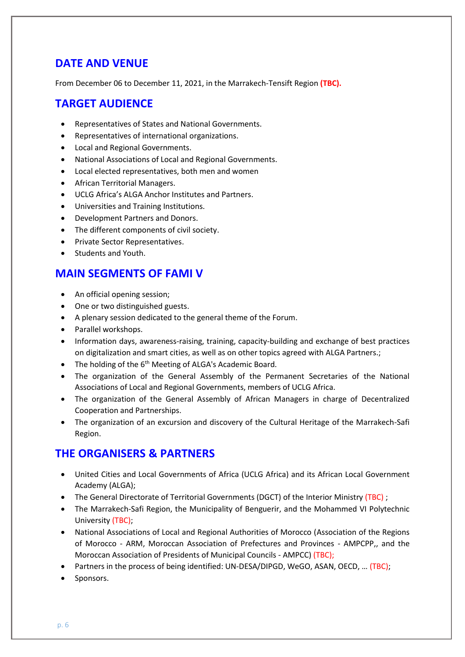## **DATE AND VENUE**

From December 06 to December 11, 2021, in the Marrakech-Tensift Region **(TBC).**

## **TARGET AUDIENCE**

- Representatives of States and National Governments.
- Representatives of international organizations.
- Local and Regional Governments.
- National Associations of Local and Regional Governments.
- Local elected representatives, both men and women
- African Territorial Managers.
- UCLG Africa's ALGA Anchor Institutes and Partners.
- Universities and Training Institutions.
- Development Partners and Donors.
- The different components of civil society.
- Private Sector Representatives.
- Students and Youth.

### **MAIN SEGMENTS OF FAMI V**

- An official opening session;
- One or two distinguished guests.
- A plenary session dedicated to the general theme of the Forum.
- Parallel workshops.
- Information days, awareness-raising, training, capacity-building and exchange of best practices on digitalization and smart cities, as well as on other topics agreed with ALGA Partners.;
- The holding of the 6<sup>th</sup> Meeting of ALGA's Academic Board.
- The organization of the General Assembly of the Permanent Secretaries of the National Associations of Local and Regional Governments, members of UCLG Africa.
- The organization of the General Assembly of African Managers in charge of Decentralized Cooperation and Partnerships.
- The organization of an excursion and discovery of the Cultural Heritage of the Marrakech-Safi Region.

## **THE ORGANISERS & PARTNERS**

- United Cities and Local Governments of Africa (UCLG Africa) and its African Local Government Academy (ALGA);
- The General Directorate of Territorial Governments (DGCT) of the Interior Ministry (TBC) ;
- The Marrakech-Safi Region, the Municipality of Benguerir, and the Mohammed VI Polytechnic University (TBC);
- National Associations of Local and Regional Authorities of Morocco (Association of the Regions of Morocco - ARM, Moroccan Association of Prefectures and Provinces - AMPCPP,, and the Moroccan Association of Presidents of Municipal Councils - AMPCC) (TBC);
- Partners in the process of being identified: UN-DESA/DIPGD, WeGO, ASAN, OECD, ... (TBC);
- Sponsors.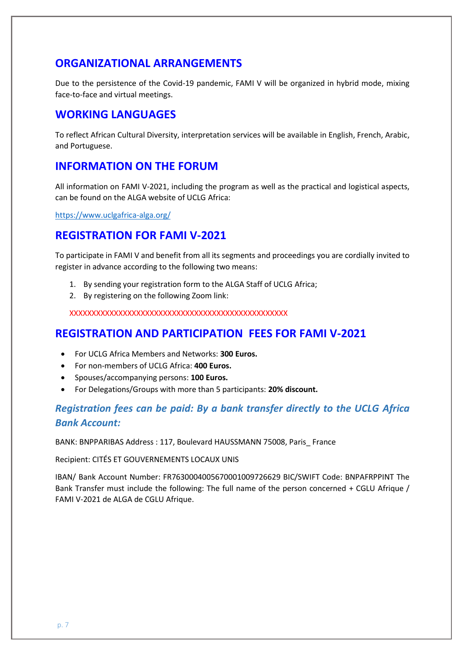### **ORGANIZATIONAL ARRANGEMENTS**

Due to the persistence of the Covid-19 pandemic, FAMI V will be organized in hybrid mode, mixing face-to-face and virtual meetings.

### **WORKING LANGUAGES**

To reflect African Cultural Diversity, interpretation services will be available in English, French, Arabic, and Portuguese.

### **INFORMATION ON THE FORUM**

All information on FAMI V-2021, including the program as well as the practical and logistical aspects, can be found on the ALGA website of UCLG Africa:

<https://www.uclgafrica-alga.org/>

### **REGISTRATION FOR FAMI V-2021**

To participate in FAMI V and benefit from all its segments and proceedings you are cordially invited to register in advance according to the following two means:

- 1. By sending your registration form to the ALGA Staff of UCLG Africa;
- 2. By registering on the following Zoom link:

XXXXXXXXXXXXXXXXXXXXXXXXXXXXXXXXXXXXXXXXXXXXXXXXX

### **REGISTRATION AND PARTICIPATION FEES FOR FAMI V-2021**

- For UCLG Africa Members and Networks: **300 Euros.**
- For non-members of UCLG Africa: **400 Euros.**
- Spouses/accompanying persons: **100 Euros.**
- For Delegations/Groups with more than 5 participants: **20% discount.**

## *Registration fees can be paid: By a bank transfer directly to the UCLG Africa Bank Account:*

BANK: BNPPARIBAS Address : 117, Boulevard HAUSSMANN 75008, Paris\_ France

Recipient: CITÉS ET GOUVERNEMENTS LOCAUX UNIS

IBAN/ Bank Account Number: FR7630004005670001009726629 BIC/SWIFT Code: BNPAFRPPINT The Bank Transfer must include the following: The full name of the person concerned + CGLU Afrique / FAMI V-2021 de ALGA de CGLU Afrique.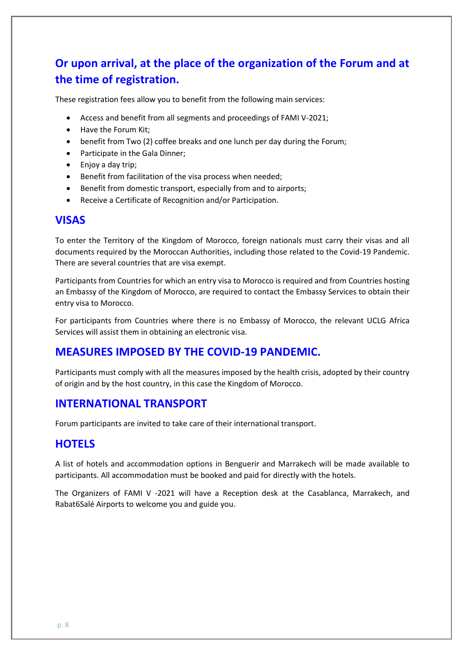# **Or upon arrival, at the place of the organization of the Forum and at the time of registration.**

These registration fees allow you to benefit from the following main services:

- Access and benefit from all segments and proceedings of FAMI V-2021;
- Have the Forum Kit:
- benefit from Two (2) coffee breaks and one lunch per day during the Forum:
- Participate in the Gala Dinner;
- Enjoy a day trip;
- Benefit from facilitation of the visa process when needed;
- Benefit from domestic transport, especially from and to airports;
- Receive a Certificate of Recognition and/or Participation.

#### **VISAS**

To enter the Territory of the Kingdom of Morocco, foreign nationals must carry their visas and all documents required by the Moroccan Authorities, including those related to the Covid-19 Pandemic. There are several countries that are visa exempt.

Participants from Countries for which an entry visa to Morocco is required and from Countries hosting an Embassy of the Kingdom of Morocco, are required to contact the Embassy Services to obtain their entry visa to Morocco.

For participants from Countries where there is no Embassy of Morocco, the relevant UCLG Africa Services will assist them in obtaining an electronic visa.

#### **MEASURES IMPOSED BY THE COVID-19 PANDEMIC.**

Participants must comply with all the measures imposed by the health crisis, adopted by their country of origin and by the host country, in this case the Kingdom of Morocco.

#### **INTERNATIONAL TRANSPORT**

Forum participants are invited to take care of their international transport.

#### **HOTELS**

A list of hotels and accommodation options in Benguerir and Marrakech will be made available to participants. All accommodation must be booked and paid for directly with the hotels.

The Organizers of FAMI V -2021 will have a Reception desk at the Casablanca, Marrakech, and Rabat6Salé Airports to welcome you and guide you.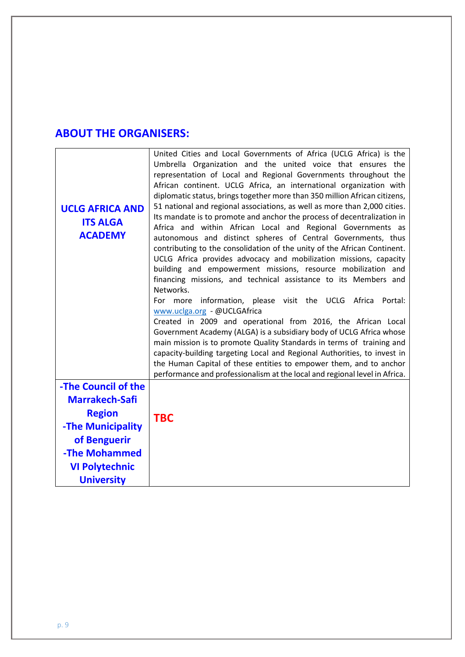# **ABOUT THE ORGANISERS:**

| <b>UCLG AFRICA AND</b><br><b>ITS ALGA</b><br><b>ACADEMY</b>                                                                                                       | United Cities and Local Governments of Africa (UCLG Africa) is the<br>Umbrella Organization and the united voice that ensures the<br>representation of Local and Regional Governments throughout the<br>African continent. UCLG Africa, an international organization with<br>diplomatic status, brings together more than 350 million African citizens,<br>51 national and regional associations, as well as more than 2,000 cities.<br>Its mandate is to promote and anchor the process of decentralization in<br>Africa and within African Local and Regional Governments as<br>autonomous and distinct spheres of Central Governments, thus<br>contributing to the consolidation of the unity of the African Continent.<br>UCLG Africa provides advocacy and mobilization missions, capacity<br>building and empowerment missions, resource mobilization and<br>financing missions, and technical assistance to its Members and<br>Networks.<br>information, please visit the UCLG Africa<br>For more<br>Portal:<br>www.uclga.org - @UCLGAfrica<br>Created in 2009 and operational from 2016, the African Local<br>Government Academy (ALGA) is a subsidiary body of UCLG Africa whose<br>main mission is to promote Quality Standards in terms of training and<br>capacity-building targeting Local and Regional Authorities, to invest in<br>the Human Capital of these entities to empower them, and to anchor<br>performance and professionalism at the local and regional level in Africa. |
|-------------------------------------------------------------------------------------------------------------------------------------------------------------------|-----------------------------------------------------------------------------------------------------------------------------------------------------------------------------------------------------------------------------------------------------------------------------------------------------------------------------------------------------------------------------------------------------------------------------------------------------------------------------------------------------------------------------------------------------------------------------------------------------------------------------------------------------------------------------------------------------------------------------------------------------------------------------------------------------------------------------------------------------------------------------------------------------------------------------------------------------------------------------------------------------------------------------------------------------------------------------------------------------------------------------------------------------------------------------------------------------------------------------------------------------------------------------------------------------------------------------------------------------------------------------------------------------------------------------------------------------------------------------------------------------|
| -The Council of the<br><b>Marrakech-Safi</b><br><b>Region</b><br>-The Municipality<br>of Benguerir<br>-The Mohammed<br><b>VI Polytechnic</b><br><b>University</b> | <b>TBC</b>                                                                                                                                                                                                                                                                                                                                                                                                                                                                                                                                                                                                                                                                                                                                                                                                                                                                                                                                                                                                                                                                                                                                                                                                                                                                                                                                                                                                                                                                                          |